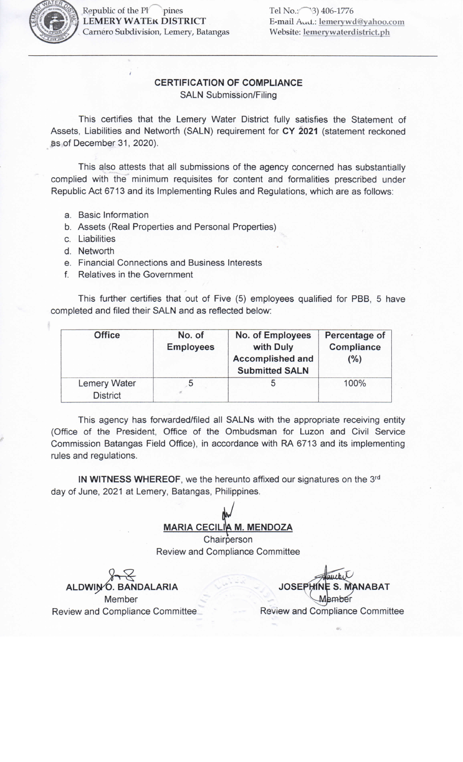

pines Republic of the PI **LEMERY WATEK DISTRICT** Carnero Subdivision, Lemery, Batangas Tel No.: (3) 406-1776 E-mail Aud.: lemerywd@yahoo.com Website: lemerywaterdistrict.ph

## **CERTIFICATION OF COMPLIANCE SALN Submission/Filing**

This certifies that the Lemery Water District fully satisfies the Statement of Assets, Liabilities and Networth (SALN) requirement for CY 2021 (statement reckoned as of December 31, 2020).

This also attests that all submissions of the agency concerned has substantially complied with the minimum requisites for content and formalities prescribed under Republic Act 6713 and its Implementing Rules and Regulations, which are as follows:

- a. Basic Information
- b. Assets (Real Properties and Personal Properties)
- c. Liabilities
- d. Networth
- e. Financial Connections and Business Interests
- f. Relatives in the Government

This further certifies that out of Five (5) employees qualified for PBB, 5 have completed and filed their SALN and as reflected below:

| <b>Office</b>                          | No. of<br><b>Employees</b> | No. of Employees<br>with Duly<br><b>Accomplished and</b><br><b>Submitted SALN</b> | Percentage of<br><b>Compliance</b><br>(%) |
|----------------------------------------|----------------------------|-----------------------------------------------------------------------------------|-------------------------------------------|
| <b>Lemery Water</b><br><b>District</b> |                            |                                                                                   | 100%                                      |

This agency has forwarded/filed all SALNs with the appropriate receiving entity (Office of the President, Office of the Ombudsman for Luzon and Civil Service Commission Batangas Field Office), in accordance with RA 6713 and its implementing rules and regulations.

IN WITNESS WHEREOF, we the hereunto affixed our signatures on the 3rd day of June, 2021 at Lemery, Batangas, Philippines.

## **MARIA CECILIA M. MENDOZA**

Chairperson Review and Compliance Committee

Ó. BANDALARIA Member Review and Compliance Committee

**JOSEP NABAT** Review and Compliance Committee